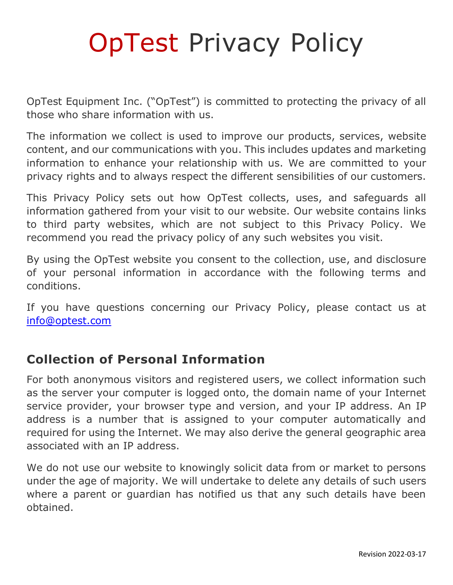# OpTest Privacy Policy

OpTest Equipment Inc. ("OpTest") is committed to protecting the privacy of all those who share information with us.

The information we collect is used to improve our products, services, website content, and our communications with you. This includes updates and marketing information to enhance your relationship with us. We are committed to your privacy rights and to always respect the different sensibilities of our customers.

This Privacy Policy sets out how OpTest collects, uses, and safeguards all information gathered from your visit to our website. Our website contains links to third party websites, which are not subject to this Privacy Policy. We recommend you read the privacy policy of any such websites you visit.

By using the OpTest website you consent to the collection, use, and disclosure of your personal information in accordance with the following terms and conditions.

If you have questions concerning our Privacy Policy, please contact us at [info@optest.com](mailto:info@optest.com)

### **Collection of Personal Information**

For both anonymous visitors and registered users, we collect information such as the server your computer is logged onto, the domain name of your Internet service provider, your browser type and version, and your IP address. An IP address is a number that is assigned to your computer automatically and required for using the Internet. We may also derive the general geographic area associated with an IP address.

We do not use our website to knowingly solicit data from or market to persons under the age of majority. We will undertake to delete any details of such users where a parent or guardian has notified us that any such details have been obtained.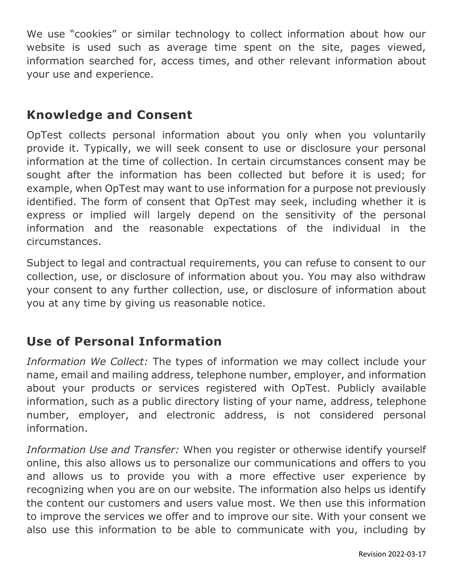We use "cookies" or similar technology to collect information about how our website is used such as average time spent on the site, pages viewed, information searched for, access times, and other relevant information about your use and experience.

### **Knowledge and Consent**

OpTest collects personal information about you only when you voluntarily provide it. Typically, we will seek consent to use or disclosure your personal information at the time of collection. In certain circumstances consent may be sought after the information has been collected but before it is used; for example, when OpTest may want to use information for a purpose not previously identified. The form of consent that OpTest may seek, including whether it is express or implied will largely depend on the sensitivity of the personal information and the reasonable expectations of the individual in the circumstances.

Subject to legal and contractual requirements, you can refuse to consent to our collection, use, or disclosure of information about you. You may also withdraw your consent to any further collection, use, or disclosure of information about you at any time by giving us reasonable notice.

# **Use of Personal Information**

*Information We Collect:* The types of information we may collect include your name, email and mailing address, telephone number, employer, and information about your products or services registered with OpTest. Publicly available information, such as a public directory listing of your name, address, telephone number, employer, and electronic address, is not considered personal information.

*Information Use and Transfer:* When you register or otherwise identify yourself online, this also allows us to personalize our communications and offers to you and allows us to provide you with a more effective user experience by recognizing when you are on our website. The information also helps us identify the content our customers and users value most. We then use this information to improve the services we offer and to improve our site. With your consent we also use this information to be able to communicate with you, including by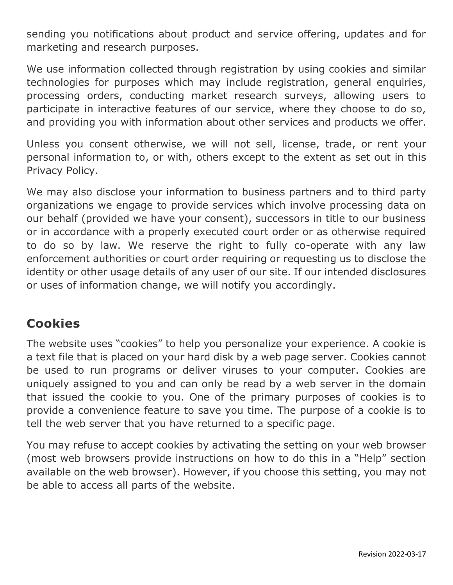sending you notifications about product and service offering, updates and for marketing and research purposes.

We use information collected through registration by using cookies and similar technologies for purposes which may include registration, general enquiries, processing orders, conducting market research surveys, allowing users to participate in interactive features of our service, where they choose to do so, and providing you with information about other services and products we offer.

Unless you consent otherwise, we will not sell, license, trade, or rent your personal information to, or with, others except to the extent as set out in this Privacy Policy.

We may also disclose your information to business partners and to third party organizations we engage to provide services which involve processing data on our behalf (provided we have your consent), successors in title to our business or in accordance with a properly executed court order or as otherwise required to do so by law. We reserve the right to fully co-operate with any law enforcement authorities or court order requiring or requesting us to disclose the identity or other usage details of any user of our site. If our intended disclosures or uses of information change, we will notify you accordingly.

### **Cookies**

The website uses "cookies" to help you personalize your experience. A cookie is a text file that is placed on your hard disk by a web page server. Cookies cannot be used to run programs or deliver viruses to your computer. Cookies are uniquely assigned to you and can only be read by a web server in the domain that issued the cookie to you. One of the primary purposes of cookies is to provide a convenience feature to save you time. The purpose of a cookie is to tell the web server that you have returned to a specific page.

You may refuse to accept cookies by activating the setting on your web browser (most web browsers provide instructions on how to do this in a "Help" section available on the web browser). However, if you choose this setting, you may not be able to access all parts of the website.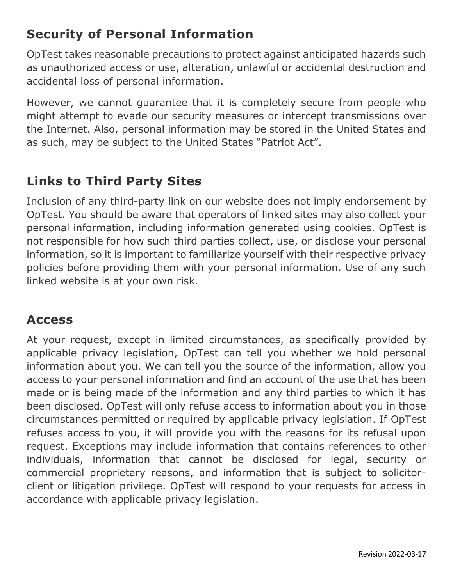## **Security of Personal Information**

OpTest takes reasonable precautions to protect against anticipated hazards such as unauthorized access or use, alteration, unlawful or accidental destruction and accidental loss of personal information.

However, we cannot guarantee that it is completely secure from people who might attempt to evade our security measures or intercept transmissions over the Internet. Also, personal information may be stored in the United States and as such, may be subject to the United States "Patriot Act".

## **Links to Third Party Sites**

Inclusion of any third-party link on our website does not imply endorsement by OpTest. You should be aware that operators of linked sites may also collect your personal information, including information generated using cookies. OpTest is not responsible for how such third parties collect, use, or disclose your personal information, so it is important to familiarize yourself with their respective privacy policies before providing them with your personal information. Use of any such linked website is at your own risk.

#### **Access**

At your request, except in limited circumstances, as specifically provided by applicable privacy legislation, OpTest can tell you whether we hold personal information about you. We can tell you the source of the information, allow you access to your personal information and find an account of the use that has been made or is being made of the information and any third parties to which it has been disclosed. OpTest will only refuse access to information about you in those circumstances permitted or required by applicable privacy legislation. If OpTest refuses access to you, it will provide you with the reasons for its refusal upon request. Exceptions may include information that contains references to other individuals, information that cannot be disclosed for legal, security or commercial proprietary reasons, and information that is subject to solicitorclient or litigation privilege. OpTest will respond to your requests for access in accordance with applicable privacy legislation.